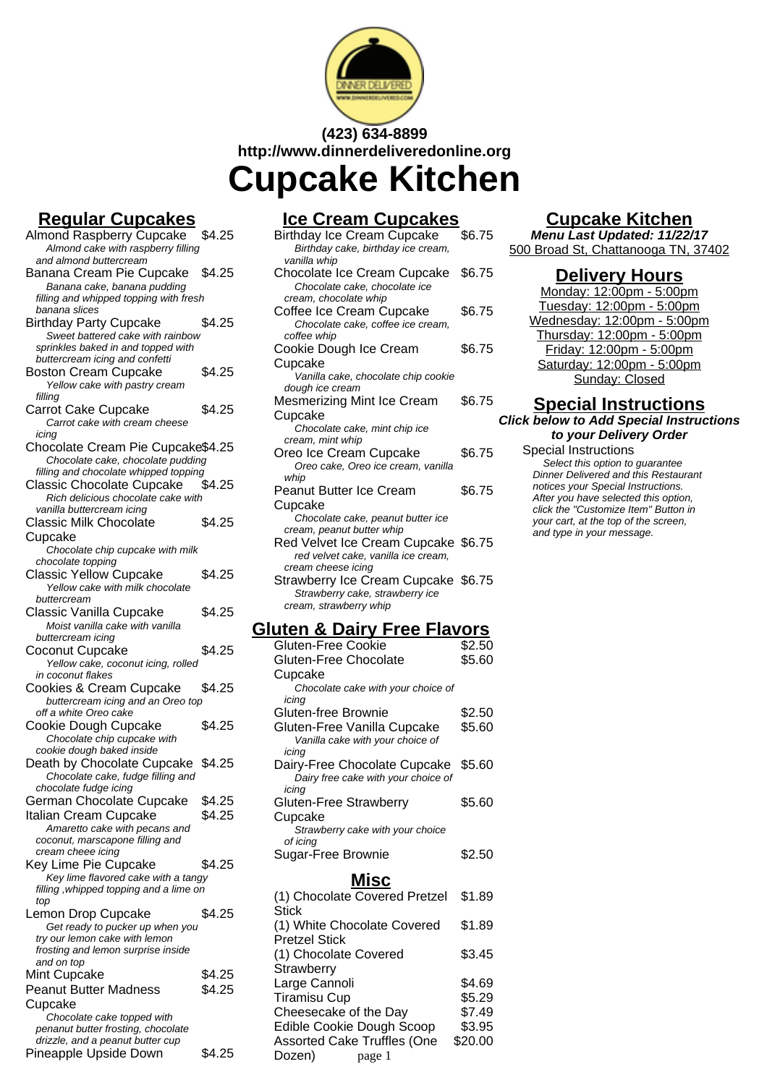

# **(423) 634-8899 http://www.dinnerdeliveredonline.org Cupcake Kitchen**

## **Regular Cupcakes**

| <u>n<del>c</del>yulai oupoanes</u>                                        |        |
|---------------------------------------------------------------------------|--------|
| <b>Almond Raspberry Cupcake</b><br>Almond cake with raspberry filling     | \$4.25 |
| and almond buttercream<br>Banana Cream Pie Cupcake                        | \$4.25 |
| Banana cake, banana pudding                                               |        |
| filling and whipped topping with fresh<br>banana slices                   |        |
| <b>Birthday Party Cupcake</b>                                             | \$4.25 |
| Sweet battered cake with rainbow                                          |        |
| sprinkles baked in and topped with<br>buttercream icing and confetti      |        |
| <b>Boston Cream Cupcake</b>                                               | \$4.25 |
| Yellow cake with pastry cream<br>filling                                  |        |
| <b>Carrot Cake Cupcake</b><br>Carrot cake with cream cheese               | \$4.25 |
| icing<br>Chocolate Cream Pie Cupcake\$4.25                                |        |
| Chocolate cake, chocolate pudding                                         |        |
| filling and chocolate whipped topping<br><b>Classic Chocolate Cupcake</b> | \$4.25 |
| Rich delicious chocolate cake with                                        |        |
| vanilla buttercream icing                                                 |        |
| Classic Milk Chocolate                                                    | \$4.25 |
| Cupcake                                                                   |        |
| Chocolate chip cupcake with milk                                          |        |
| chocolate topping<br><b>Classic Yellow Cupcake</b>                        | \$4.25 |
| Yellow cake with milk chocolate                                           |        |
| buttercream                                                               |        |
| Classic Vanilla Cupcake                                                   | \$4.25 |
| Moist vanilla cake with vanilla                                           |        |
| buttercream icing<br>Coconut Cupcake                                      | \$4.25 |
| Yellow cake, coconut icing, rolled                                        |        |
| in coconut flakes                                                         |        |
| Cookies & Cream Cupcake                                                   | \$4.25 |
| buttercream icing and an Oreo top                                         |        |
| off a white Oreo cake<br>Cookie Dough Cupcake                             | \$4.25 |
| Chocolate chip cupcake with                                               |        |
| cookie dough baked inside                                                 |        |
| Death by Chocolate Cupcake                                                | \$4.25 |
| Chocolate cake, fudge filling and                                         |        |
| chocolate fudge icing<br>German Chocolate Cupcake \$4.25                  |        |
| Italian Cream Cupcake                                                     | \$4.25 |
| Amaretto cake with pecans and                                             |        |
| coconut, marscapone filling and                                           |        |
| cream cheee icing<br>Key Lime Pie Cupcake                                 | \$4.25 |
| Key lime flavored cake with a tangy                                       |        |
| filling, whipped topping and a lime on<br>top                             |        |
| Lemon Drop Cupcake                                                        | \$4.25 |
| Get ready to pucker up when you                                           |        |
| try our lemon cake with lemon<br>frosting and lemon surprise inside       |        |
| and on top                                                                |        |
| Mint Cupcake                                                              | \$4.25 |
| <b>Peanut Butter Madness</b>                                              | \$4.25 |
| Cupcake                                                                   |        |
| Chocolate cake topped with                                                |        |
| penanut butter frosting, chocolate<br>drizzle, and a peanut butter cup    |        |
| Pineapple Upside Down                                                     | \$4.25 |
|                                                                           |        |

### **Ice Cream Cupcakes**

| Birthday Ice Cream Cupcake<br>Birthday cake, birthday ice cream,                                                                                                           | \$6.75 |
|----------------------------------------------------------------------------------------------------------------------------------------------------------------------------|--------|
| vanilla whip                                                                                                                                                               |        |
| Chocolate Ice Cream Cupcake                                                                                                                                                | \$6.75 |
| Chocolate cake, chocolate ice                                                                                                                                              |        |
| cream, chocolate whip                                                                                                                                                      |        |
| Coffee Ice Cream Cupcake                                                                                                                                                   | \$6.75 |
| Chocolate cake, coffee ice cream,                                                                                                                                          |        |
| coffee whip                                                                                                                                                                |        |
| Cookie Dough Ice Cream                                                                                                                                                     | \$6.75 |
| Cupcake                                                                                                                                                                    |        |
| Vanilla cake, chocolate chip cookie                                                                                                                                        |        |
| dough ice cream                                                                                                                                                            |        |
| Mesmerizing Mint Ice Cream                                                                                                                                                 | \$6.75 |
| Cupcake                                                                                                                                                                    |        |
| Chocolate cake, mint chip ice                                                                                                                                              |        |
| cream, mint whip                                                                                                                                                           |        |
| Oreo Ice Cream Cupcake                                                                                                                                                     | \$6.75 |
| Oreo cake, Oreo ice cream, vanilla                                                                                                                                         |        |
| whip                                                                                                                                                                       |        |
| Peanut Butter Ice Cream                                                                                                                                                    | \$6.75 |
| Cupcake                                                                                                                                                                    |        |
| Chocolate cake, peanut butter ice                                                                                                                                          |        |
| cream, peanut butter whip                                                                                                                                                  |        |
|                                                                                                                                                                            |        |
|                                                                                                                                                                            |        |
|                                                                                                                                                                            |        |
|                                                                                                                                                                            |        |
|                                                                                                                                                                            |        |
| cream, strawberry whip                                                                                                                                                     |        |
| Red Velvet Ice Cream Cupcake \$6.75<br>red velvet cake, vanilla ice cream,<br>cream cheese icing<br>Strawberry Ice Cream Cupcake \$6.75<br>Strawberry cake, strawberry ice |        |

#### **Gluten & Dairy Free Flavors**

| Gluten-Free Cookie                           | \$2.50  |
|----------------------------------------------|---------|
| Gluten-Free Chocolate                        | \$5.60  |
| Cupcake                                      |         |
| Chocolate cake with your choice of           |         |
| icinq                                        |         |
| Gluten-free Brownie                          | \$2.50  |
| Gluten-Free Vanilla Cupcake                  | \$5.60  |
| Vanilla cake with your choice of             |         |
| icing                                        |         |
| Dairy-Free Chocolate Cupcake                 | \$5.60  |
| Dairy free cake with your choice of<br>icing |         |
| <b>Gluten-Free Strawberry</b>                | \$5.60  |
| Cupcake                                      |         |
| Strawberry cake with your choice             |         |
| of icing                                     |         |
| Sugar-Free Brownie                           | \$2.50  |
| Misc                                         |         |
| (1) Chocolate Covered Pretzel                | \$1.89  |
| <b>Stick</b>                                 |         |
| (1) White Chocolate Covered                  | \$1.89  |
| <b>Pretzel Stick</b>                         |         |
| (1) Chocolate Covered                        | \$3.45  |
| Strawberry                                   |         |
| Large Cannoli                                | \$4.69  |
| <b>Tiramisu Cup</b>                          | \$5.29  |
| Cheesecake of the Day                        | \$7.49  |
| Edible Cookie Dough Scoop                    | \$3.95  |
| <b>Assorted Cake Truffles (One</b>           | \$20.00 |
| Dozen)                                       |         |
| page 1                                       |         |

### **Cupcake Kitchen**

**Menu Last Updated: 11/22/17** 500 Broad St, Chattanooga TN, 37402

#### **Delivery Hours**

Monday: 12:00pm - 5:00pm Tuesday: 12:00pm - 5:00pm Wednesday: 12:00pm - 5:00pm Thursday: 12:00pm - 5:00pm Friday: 12:00pm - 5:00pm Saturday: 12:00pm - 5:00pm Sunday: Closed

#### **Special Instructions Click below to Add Special Instructions to your Delivery Order**

Special Instructions Select this option to quarantee Dinner Delivered and this Restaurant notices your Special Instructions. After you have selected this option, click the "Customize Item" Button in your cart, at the top of the screen, and type in your message.